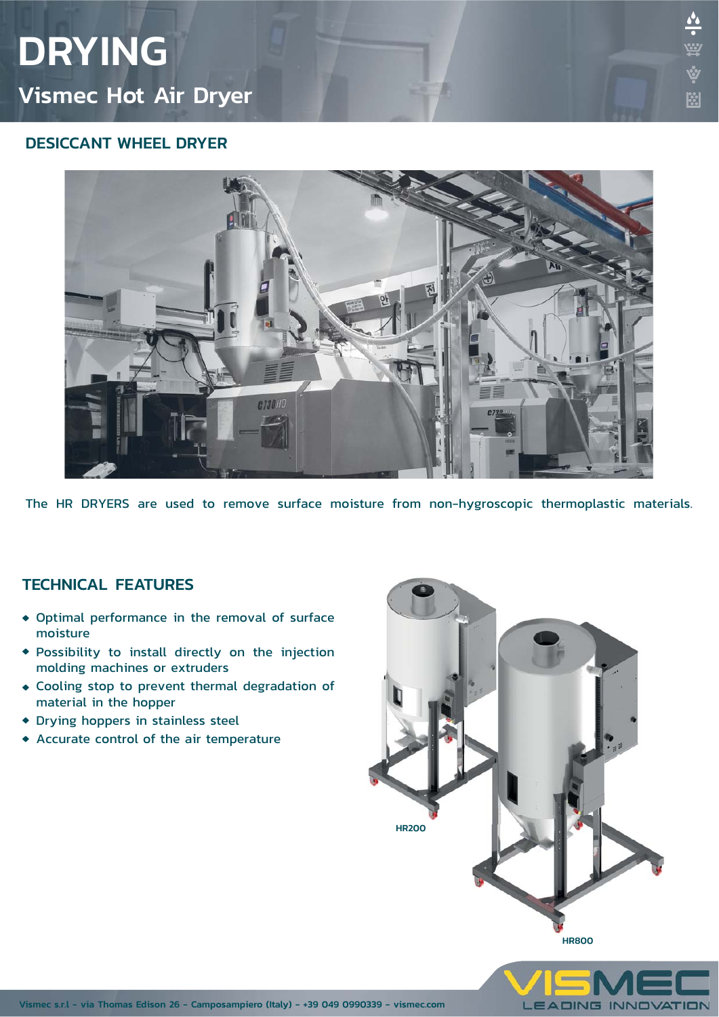# DRYING Vismec Hot Air Dryer

### DESICCANT WHEEL DRYER



The HR DRYERS are used to remove surface moisture from non-hygroscopic thermoplastic materials.

#### TECHNICAL FEATURES

- Optimal performance in the removal of surface moisture
- Possibility to install directly on the injection molding machines or extruders
- Cooling stop to prevent thermal degradation of material in the hopper
- Drying hoppers in stainless steel
- Accurate control of the air temperature